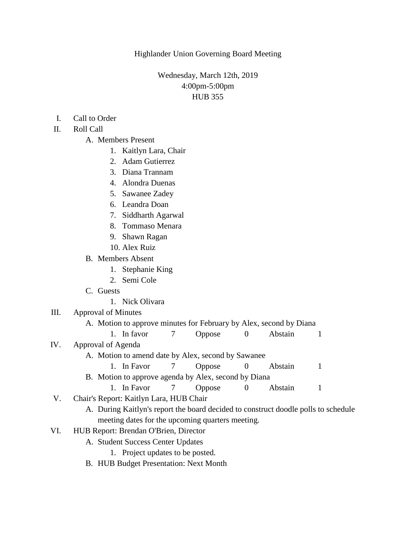Highlander Union Governing Board Meeting

# Wednesday, March 12th, 2019 4:00pm-5:00pm HUB 355

- I. Call to Order
- II. Roll Call
	- A. Members Present
		- 1. Kaitlyn Lara, Chair
		- 2. Adam Gutierrez
		- 3. Diana Trannam
		- 4. Alondra Duenas
		- 5. Sawanee Zadey
		- 6. Leandra Doan
		- 7. Siddharth Agarwal
		- 8. Tommaso Menara
		- 9. Shawn Ragan
		- 10. Alex Ruiz

#### B. Members Absent

- 1. Stephanie King
- 2. Semi Cole
- C. Guests
	- 1. Nick Olivara
- III. Approval of Minutes
	- A. Motion to approve minutes for February by Alex, second by Diana
	- 1. In favor 7 Oppose 0 Abstain 1
- IV. Approval of Agenda
	- A. Motion to amend date by Alex, second by Sawanee
	- 1. In Favor 7 Oppose 0 Abstain 1 B. Motion to approve agenda by Alex, second by Diana
		- 1. In Favor 7 Oppose 0 Abstain 1
- V. Chair's Report: Kaitlyn Lara, HUB Chair
	- A. During Kaitlyn's report the board decided to construct doodle polls to schedule meeting dates for the upcoming quarters meeting.
- VI. HUB Report: Brendan O'Brien, Director
	- A. Student Success Center Updates
		- 1. Project updates to be posted.
	- B. HUB Budget Presentation: Next Month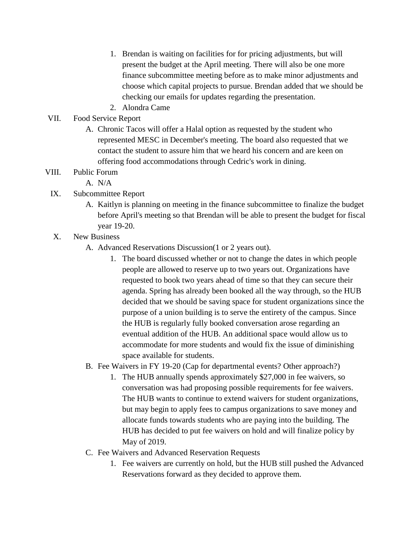- 1. Brendan is waiting on facilities for for pricing adjustments, but will present the budget at the April meeting. There will also be one more finance subcommittee meeting before as to make minor adjustments and choose which capital projects to pursue. Brendan added that we should be checking our emails for updates regarding the presentation.
- 2. Alondra Came

# VII. Food Service Report

A. Chronic Tacos will offer a Halal option as requested by the student who represented MESC in December's meeting. The board also requested that we contact the student to assure him that we heard his concern and are keen on offering food accommodations through Cedric's work in dining.

### VIII. Public Forum

- A. N/A
- IX. Subcommittee Report
	- A. Kaitlyn is planning on meeting in the finance subcommittee to finalize the budget before April's meeting so that Brendan will be able to present the budget for fiscal year 19-20.
- X. New Business
	- A. Advanced Reservations Discussion(1 or 2 years out).
		- 1. The board discussed whether or not to change the dates in which people people are allowed to reserve up to two years out. Organizations have requested to book two years ahead of time so that they can secure their agenda. Spring has already been booked all the way through, so the HUB decided that we should be saving space for student organizations since the purpose of a union building is to serve the entirety of the campus. Since the HUB is regularly fully booked conversation arose regarding an eventual addition of the HUB. An additional space would allow us to accommodate for more students and would fix the issue of diminishing space available for students.
	- B. Fee Waivers in FY 19-20 (Cap for departmental events? Other approach?)
		- 1. The HUB annually spends approximately \$27,000 in fee waivers, so conversation was had proposing possible requirements for fee waivers. The HUB wants to continue to extend waivers for student organizations, but may begin to apply fees to campus organizations to save money and allocate funds towards students who are paying into the building. The HUB has decided to put fee waivers on hold and will finalize policy by May of 2019.
	- C. Fee Waivers and Advanced Reservation Requests
		- 1. Fee waivers are currently on hold, but the HUB still pushed the Advanced Reservations forward as they decided to approve them.